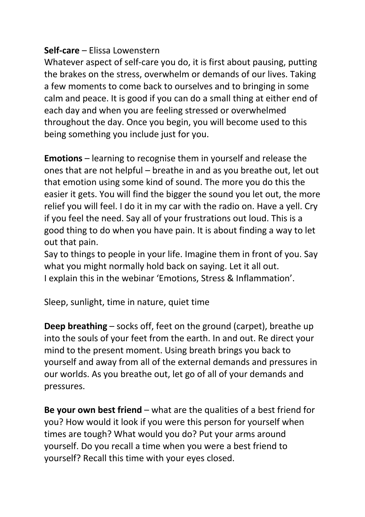## **Self-care** – Elissa Lowenstern

Whatever aspect of self-care you do, it is first about pausing, putting the brakes on the stress, overwhelm or demands of our lives. Taking a few moments to come back to ourselves and to bringing in some calm and peace. It is good if you can do a small thing at either end of each day and when you are feeling stressed or overwhelmed throughout the day. Once you begin, you will become used to this being something you include just for you.

**Emotions** – learning to recognise them in yourself and release the ones that are not helpful – breathe in and as you breathe out, let out that emotion using some kind of sound. The more you do this the easier it gets. You will find the bigger the sound you let out, the more relief you will feel. I do it in my car with the radio on. Have a yell. Cry if you feel the need. Say all of your frustrations out loud. This is a good thing to do when you have pain. It is about finding a way to let out that pain.

Say to things to people in your life. Imagine them in front of you. Say what you might normally hold back on saying. Let it all out. I explain this in the webinar 'Emotions, Stress & Inflammation'.

Sleep, sunlight, time in nature, quiet time

**Deep breathing** – socks off, feet on the ground (carpet), breathe up into the souls of your feet from the earth. In and out. Re direct your mind to the present moment. Using breath brings you back to yourself and away from all of the external demands and pressures in our worlds. As you breathe out, let go of all of your demands and pressures.

**Be your own best friend** – what are the qualities of a best friend for you? How would it look if you were this person for yourself when times are tough? What would you do? Put your arms around yourself. Do you recall a time when you were a best friend to yourself? Recall this time with your eyes closed.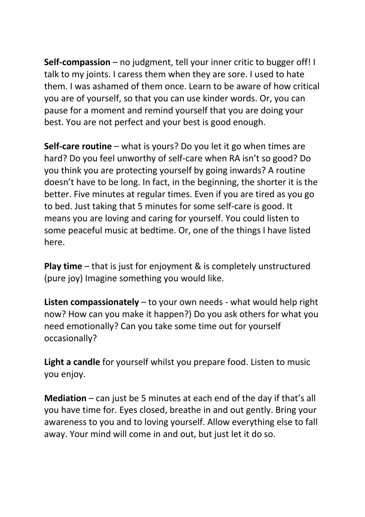**Self-compassion** – no judgment, tell your inner critic to bugger off! I talk to my joints. I caress them when they are sore. I used to hate them. I was ashamed of them once. Learn to be aware of how critical you are of yourself, so that you can use kinder words. Or, you can pause for a moment and remind yourself that you are doing your best. You are not perfect and your best is good enough.

**Self-care routine** – what is yours? Do you let it go when times are hard? Do you feel unworthy of self-care when RA isn't so good? Do you think you are protecting yourself by going inwards? A routine doesn't have to be long. In fact, in the beginning, the shorter it is the better. Five minutes at regular times. Even if you are tired as you go to bed. Just taking that 5 minutes for some self-care is good. It means you are loving and caring for yourself. You could listen to some peaceful music at bedtime. Or, one of the things I have listed here.

**Play time** – that is just for enjoyment & is completely unstructured (pure joy) Imagine something you would like.

**Listen compassionately** – to your own needs - what would help right now? How can you make it happen?) Do you ask others for what you need emotionally? Can you take some time out for yourself occasionally?

**Light a candle** for yourself whilst you prepare food. Listen to music you enjoy.

**Mediation** – can just be 5 minutes at each end of the day if that's all you have time for. Eyes closed, breathe in and out gently. Bring your awareness to you and to loving yourself. Allow everything else to fall away. Your mind will come in and out, but just let it do so.